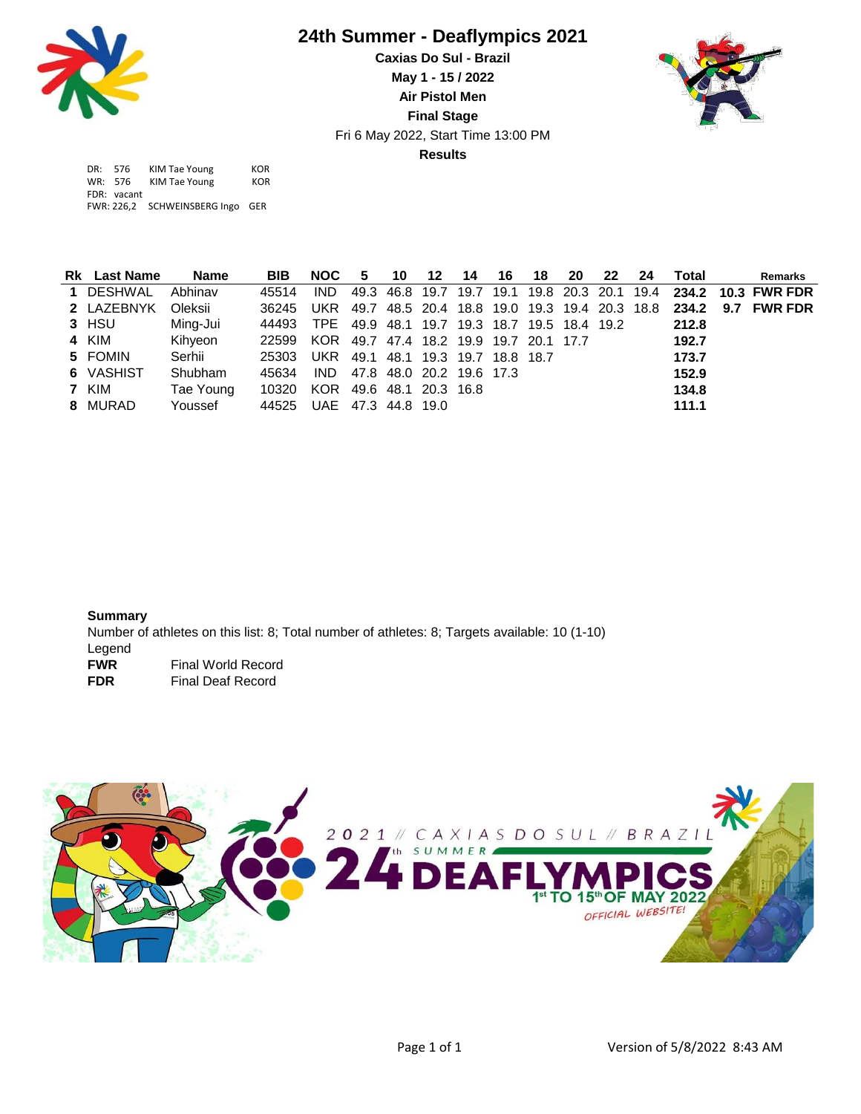

## **24th Summer - Deaflympics 2021**

**Results** Fri 6 May 2022, Start Time 13:00 PM **Caxias Do Sul - Brazil May 1 - 15 / 2022 Air Pistol Men Final Stage**



| DR: 576     | KIM Tae Young                    | KOR |
|-------------|----------------------------------|-----|
| WR: 576     | KIM Tae Young                    | KOR |
| FDR: vacant |                                  |     |
|             | FWR: 226,2 SCHWEINSBERG Ingo GER |     |

| <b>Rk</b> Last Name | <b>Name</b> | <b>BIB</b>               | <b>NOC</b>                                  | 5                        | 10 | 12 | 14 | 16 | 18 | -20 | 22 | -24 | Total | <b>Remarks</b>                                                     |
|---------------------|-------------|--------------------------|---------------------------------------------|--------------------------|----|----|----|----|----|-----|----|-----|-------|--------------------------------------------------------------------|
| 1 DESHWAL           | Abhinav     | 45514                    | IND.                                        |                          |    |    |    |    |    |     |    |     |       | 49.3 46.8 19.7 19.7 19.1 19.8 20.3 20.1 19.4 234.2 10.3 FWR FDR    |
| 2 LAZEBNYK          | Oleksii     | 36245                    |                                             |                          |    |    |    |    |    |     |    |     |       | UKR 49.7 48.5 20.4 18.8 19.0 19.3 19.4 20.3 18.8 234.2 9.7 FWR FDR |
| 3 HSU               | Ming-Jui    | 44493                    | TPE 49.9 48.1 19.7 19.3 18.7 19.5 18.4 19.2 |                          |    |    |    |    |    |     |    |     | 212.8 |                                                                    |
| 4 KIM               | Kihyeon     | 22599                    | KOR 49.7 47.4 18.2 19.9 19.7 20.1 17.7      |                          |    |    |    |    |    |     |    |     | 192.7 |                                                                    |
| 5 FOMIN             | Serhii      | 25303                    | UKR 49.1 48.1 19.3 19.7 18.8 18.7           |                          |    |    |    |    |    |     |    |     | 173.7 |                                                                    |
| 6 VASHIST           | Shubham     | 45634                    | IND.                                        | 47.8 48.0 20.2 19.6 17.3 |    |    |    |    |    |     |    |     | 152.9 |                                                                    |
| 7 KIM               | Tae Young   | 10320                    | KOR 49.6 48.1 20.3 16.8                     |                          |    |    |    |    |    |     |    |     | 134.8 |                                                                    |
| 8 MURAD             | Youssef     | 44525 UAE 47.3 44.8 19.0 |                                             |                          |    |    |    |    |    |     |    |     | 111.1 |                                                                    |

**Summary** Number of athletes on this list: 8; Total number of athletes: 8; Targets available: 10 (1-10) Legend<br>FWR **Final World Record FDR** Final Deaf Record